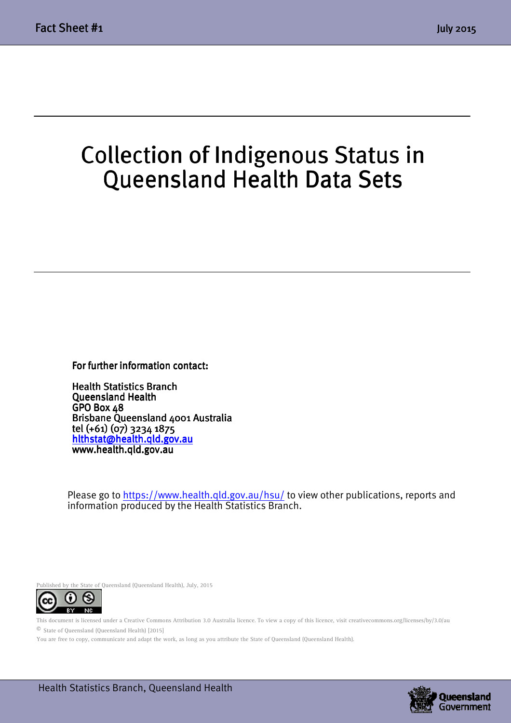$\overline{a}$ 

# Collection of Indigenous Status in Queensland Health Data Sets

For further information contact:

**Health Statistics Branch** Queensland Health GPO Box 48 Brisbane Queensland 4001 Australia tel (+61) (07) 3234 1875 (+61) (07) hlthstat@health.qld.gov.au www.health.qld.gov.au

Please go to https://www.health.qld.gov.au/hsu/ to view other publications, reports and information produced by the Health Statistics Branch.

Published by the State of Queensland (Queensland Health), July, 2015



This document is licensed under a Creative Commons Attribution 3.0 Australia licence. To view a copy of this licence, visit creativecommons.org/licenses/by/3.0/au © State of Queensland (Queensland Health) [2015]

You are free to copy, communicate and adapt the work, as long as you attribute the State of Queensland (Queensland Health).

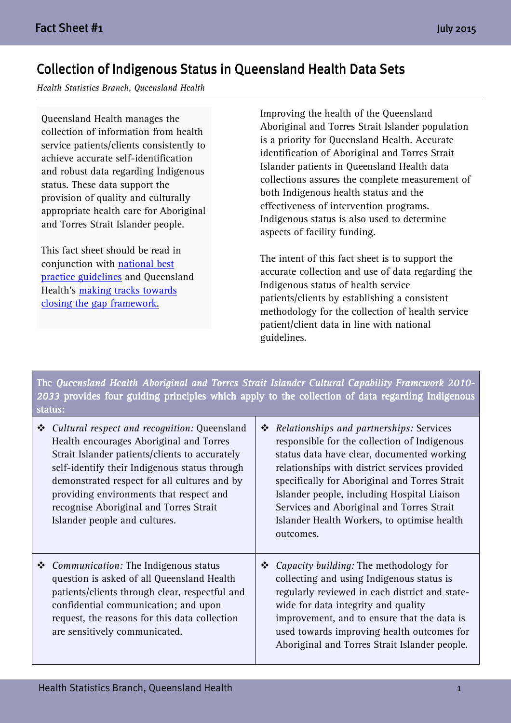# Collection of Indigenous Status in Queensland Health Data Sets

Health Statistics Branch, Queensland Health

Queensland Health manages the collection of information from health service patients/clients consistently to achieve accurate self-identification and robust data regarding Indigenous status. These data support the provision of quality and culturally appropriate health care for Aboriginal and Torres Strait Islander people.

This fact sheet should be read in conjunction with national best practice guidelines and Queensland Health's making tracks towards closing the gap framework.

Improving the health of the Queensland Aboriginal and Torres Strait Islander population is a priority for Queensland Health. Accurate identification of Aboriginal and Torres Strait Islander patients in Queensland Health data collections assures the complete measurement of both Indigenous health status and the effectiveness of intervention programs. Indigenous status is also used to determine aspects of facility funding.

The intent of this fact sheet is to support the accurate collection and use of data regarding the Indigenous status of health service patients/clients by establishing a consistent methodology for the collection of health service patient/client data in line with national guidelines.

The Queensland Health Aboriginal and Torres Strait Islander Cultural Capability Framework 2010-2033 provides four guiding principles which apply to the collection of data regarding Indigenous status:

| ❖ | Cultural respect and recognition: Queensland<br>Health encourages Aboriginal and Torres<br>Strait Islander patients/clients to accurately<br>self-identify their Indigenous status through<br>demonstrated respect for all cultures and by<br>providing environments that respect and<br>recognise Aboriginal and Torres Strait<br>Islander people and cultures. | $\ddot{\bullet}$ | <i>Relationships and partnerships: Services</i><br>responsible for the collection of Indigenous<br>status data have clear, documented working<br>relationships with district services provided<br>specifically for Aboriginal and Torres Strait<br>Islander people, including Hospital Liaison<br>Services and Aboriginal and Torres Strait<br>Islander Health Workers, to optimise health<br>outcomes. |
|---|------------------------------------------------------------------------------------------------------------------------------------------------------------------------------------------------------------------------------------------------------------------------------------------------------------------------------------------------------------------|------------------|---------------------------------------------------------------------------------------------------------------------------------------------------------------------------------------------------------------------------------------------------------------------------------------------------------------------------------------------------------------------------------------------------------|
| ❖ | Communication: The Indigenous status<br>question is asked of all Queensland Health<br>patients/clients through clear, respectful and<br>confidential communication; and upon<br>request, the reasons for this data collection<br>are sensitively communicated.                                                                                                   | ❖                | Capacity building: The methodology for<br>collecting and using Indigenous status is<br>regularly reviewed in each district and state-<br>wide for data integrity and quality<br>improvement, and to ensure that the data is<br>used towards improving health outcomes for<br>Aboriginal and Torres Strait Islander people.                                                                              |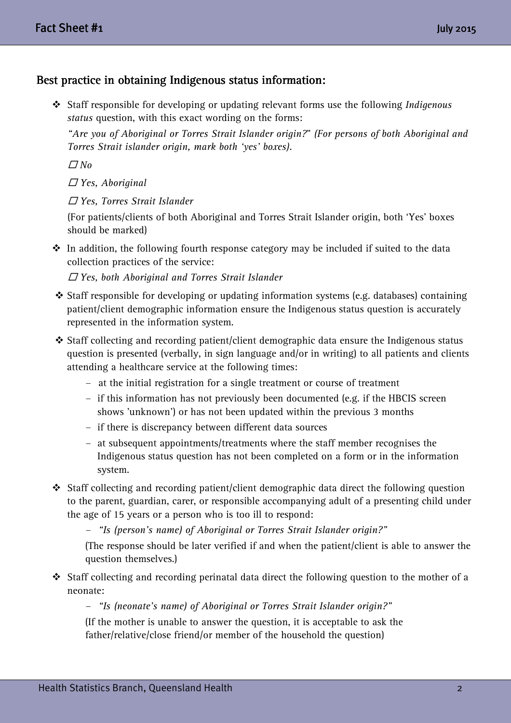# Best practice in obtaining Indigenous status information:

 Staff responsible for developing or updating relevant forms use the following Indigenous status question, with this exact wording on the forms:

 "Are you of Aboriginal or Torres Strait Islander origin?" (For persons of both Aboriginal and Torres Strait islander origin, mark both 'yes' boxes).

 $\varpi$  No

 $\Box$  Yes, Aboriginal

- Yes, Torres Strait Islander

 (For patients/clients of both Aboriginal and Torres Strait Islander origin, both 'Yes' boxes should be marked)

 $\hat{\mathbf{v}}$  In addition, the following fourth response category may be included if suited to the data collection practices of the service:

 $\Box$  Yes, both Aboriginal and Torres Strait Islander

- $\div$  Staff responsible for developing or updating information systems (e.g. databases) containing patient/client demographic information ensure the Indigenous status question is accurately represented in the information system.
- Staff collecting and recording patient/client demographic data ensure the Indigenous status question is presented (verbally, in sign language and/or in writing) to all patients and clients attending a healthcare service at the following times:
	- at the initial registration for a single treatment or course of treatment
	- if this information has not previously been documented (e.g. if the HBCIS screen shows 'unknown') or has not been updated within the previous 3 months
	- if there is discrepancy between different data sources
	- at subsequent appointments/treatments where the staff member recognises the Indigenous status question has not been completed on a form or in the information system.
- Staff collecting and recording patient/client demographic data direct the following question to the parent, guardian, carer, or responsible accompanying adult of a presenting child under the age of 15 years or a person who is too ill to respond:

- "Is (person's name) of Aboriginal or Torres Strait Islander origin?"

(The response should be later verified if and when the patient/client is able to answer the question themselves.)

 Staff collecting and recording perinatal data direct the following question to the mother of a neonate:

- "Is (neonate's name) of Aboriginal or Torres Strait Islander origin?"

(If the mother is unable to answer the question, it is acceptable to ask the father/relative/close friend/or member of the household the question)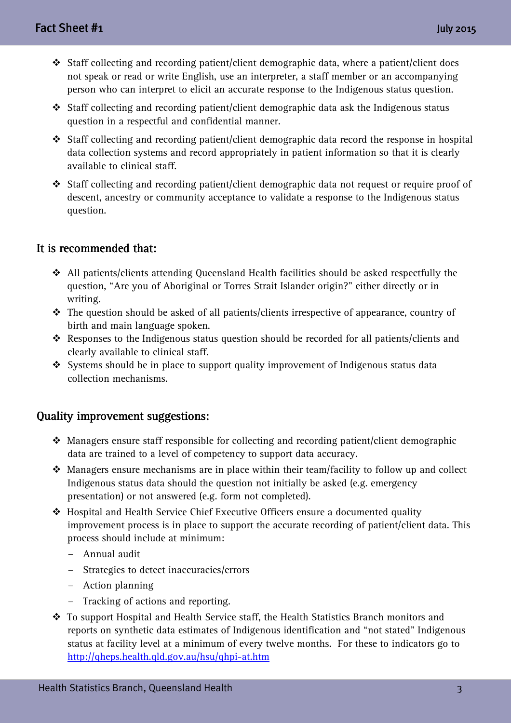- Staff collecting and recording patient/client demographic data, where a patient/client does not speak or read or write English, use an interpreter, a staff member or an accompanying person who can interpret to elicit an accurate response to the Indigenous status question.
- Staff collecting and recording patient/client demographic data ask the Indigenous status question in a respectful and confidential manner.
- Staff collecting and recording patient/client demographic data record the response in hospital data collection systems and record appropriately in patient information so that it is clearly available to clinical staff.
- Staff collecting and recording patient/client demographic data not request or require proof of descent, ancestry or community acceptance to validate a response to the Indigenous status question.

## It is recommended that:

- All patients/clients attending Queensland Health facilities should be asked respectfully the question, "Are you of Aboriginal or Torres Strait Islander origin?" either directly or in writing.
- \* The question should be asked of all patients/clients irrespective of appearance, country of birth and main language spoken.
- \* Responses to the Indigenous status question should be recorded for all patients/clients and clearly available to clinical staff.
- Systems should be in place to support quality improvement of Indigenous status data collection mechanisms.

#### Quality improvement suggestions: Quality improvement

- $\triangleq$  Managers ensure staff responsible for collecting and recording patient/client demographic data are trained to a level of competency to support data accuracy.
- $\triangleleft$  Managers ensure mechanisms are in place within their team/facility to follow up and collect Indigenous status data should the question not initially be asked (e.g. emergency presentation) or not answered (e.g. form not completed).
- Hospital and Health Service Chief Executive Officers ensure a documented quality improvement process is in place to support the accurate recording of patient/client data. This process should include at minimum:
	- Annual audit
	- Strategies to detect inaccuracies/errors
	- Action planning
	- Tracking of actions and reporting.
- \* To support Hospital and Health Service staff, the Health Statistics Branch monitors and reports on synthetic data estimates of Indigenous identification and "not stated" Indigenous status at facility level at a minimum of every twelve months. For these to indicators go to http://qheps.health.qld.gov.au/hsu/qhpi-at.htm